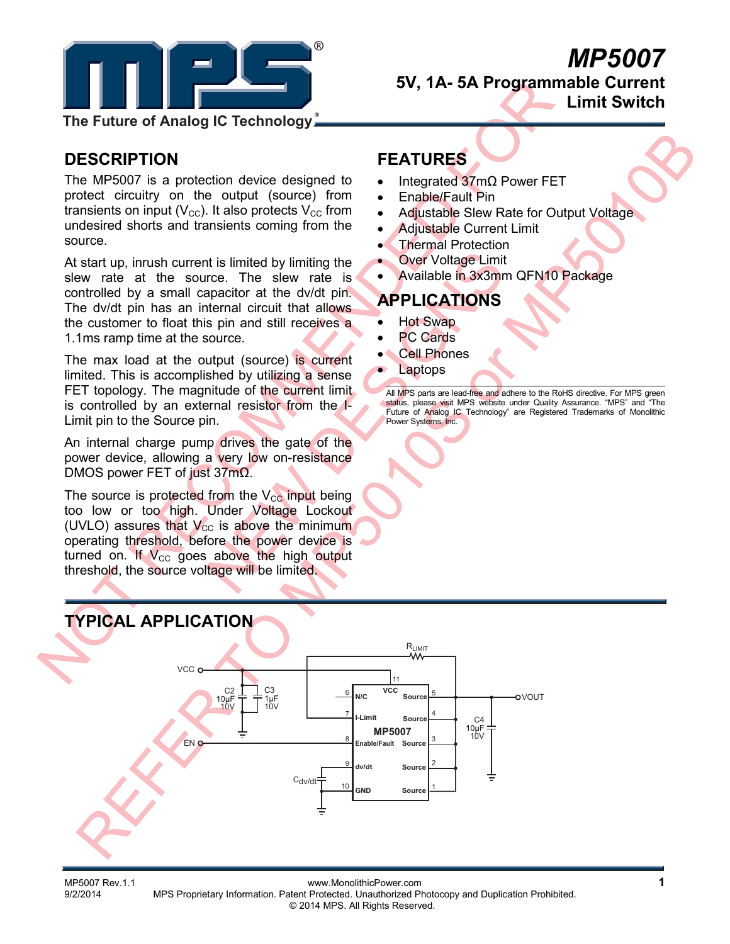

# *MP5007*

**5V, 1A- 5A Programmable Current Limit Switch** 

**The Future of Analog IC Technology**

### **DESCRIPTION**

The MP5007 is a protection device designed to protect circuitry on the output (source) from transients on input ( $V_{\text{CC}}$ ). It also protects  $V_{\text{CC}}$  from undesired shorts and transients coming from the source.

At start up, inrush current is limited by limiting the slew rate at the source. The slew rate is controlled by a small capacitor at the dv/dt pin. The dv/dt pin has an internal circuit that allows the customer to float this pin and still receives a 1.1ms ramp time at the source.

The max load at the output (source) is current limited. This is accomplished by utilizing a sense FET topology. The magnitude of the current limit. is controlled by an external resistor from the I-Limit pin to the Source pin.

An internal charge pump drives the gate of the power device, allowing a very low on-resistance DMOS power FET of just 37mΩ.

The source is protected from the  $V_{CC}$  input being too low or too high. Under Voltage Lockout (UVLO) assures that  $V_{\text{cc}}$  is above the minimum operating threshold, before the power device is turned on. If  $V_{CC}$  goes above the high output threshold, the source voltage will be limited.

### **FEATURES**

- Integrated 37mΩ Power FET
- Enable/Fault Pin
- Adjustable Slew Rate for Output Voltage
- Adjustable Current Limit
- **Thermal Protection**
- **Over Voltage Limit**
- Available in 3x3mm QFN10 Package

## **APPLICATIONS**

- Hot Swap
- **PC Cards**
- **Cell Phones**
- **Laptops**

All MPS parts are lead-free and adhere to the RoHS directive. For MPS green status, please visit MPS website under Quality Assurance. "MPS" and "The Future of Analog IC Technology" are Registered Trademarks of Monolithic Power Systems, Inc.



MP5007 Rev.1.1 www.MonolithicPower.com<br>1/9/2/2014 MPS Proprietary Information. Patent Protected. Unauthorized Photocopy and Duplication Prohibited. MPS Proprietary Information. Patent Protected. Unauthorized Photocopy and Duplication Prohibited. © 2014 MPS. All Rights Reserved.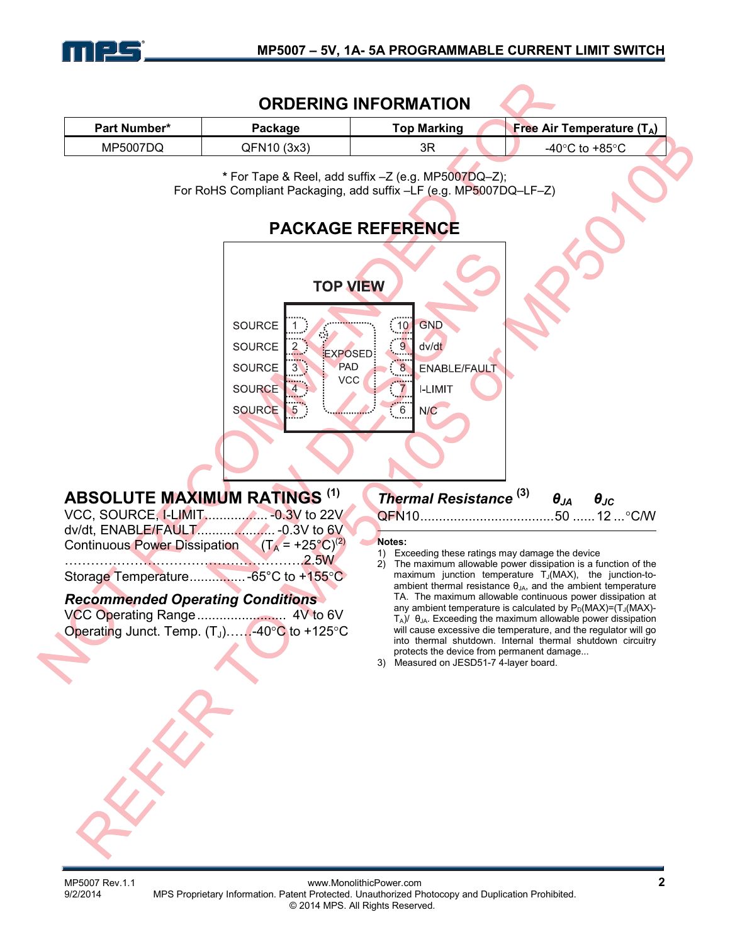

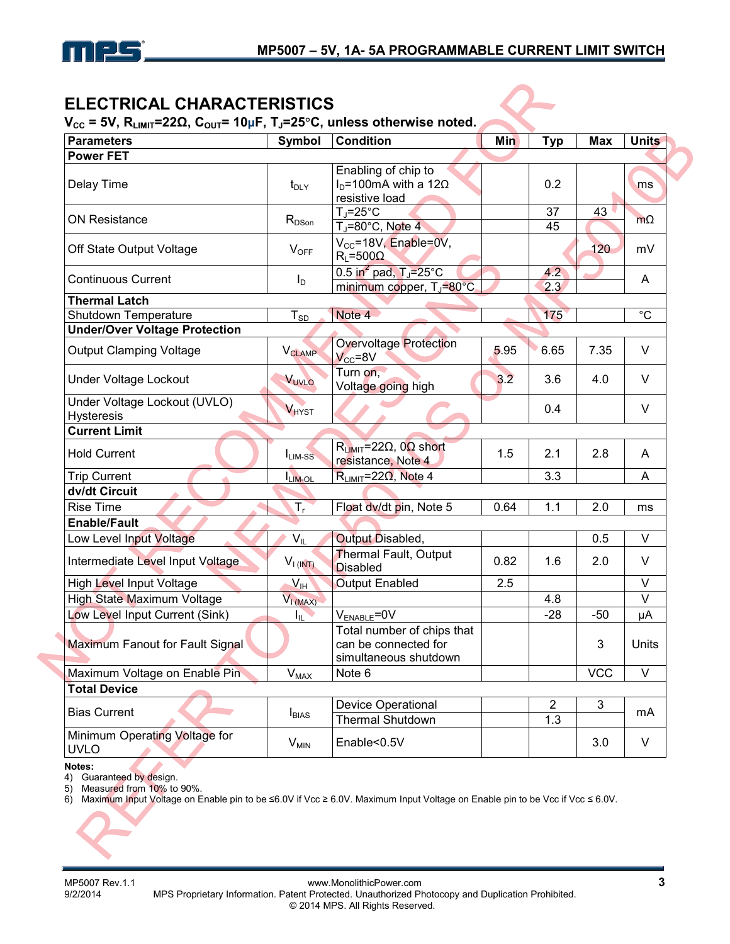

### **ELECTRICAL CHARACTERISTICS**

**VCC = 5V, RLIMIT=22Ω, COUT= 10μF, TJ=25**°**C, unless otherwise noted.** 

| <b>Parameters</b>                                 | Symbol                   | <b>Condition</b>                                                                      | Min  | <b>Typ</b>            | <b>Max</b> | <b>Units</b>   |
|---------------------------------------------------|--------------------------|---------------------------------------------------------------------------------------|------|-----------------------|------------|----------------|
| <b>Power FET</b>                                  |                          |                                                                                       |      |                       |            |                |
| Delay Time                                        | $t_{\text{DLY}}$         | Enabling of chip to<br>$ID=100mA$ with a 12 $\Omega$<br>resistive load                |      | 0.2                   |            | ms             |
| <b>ON Resistance</b>                              | $R_{DSon}$               | $T_J = 25$ °C<br>$T_J = 80^\circ \text{C}$ , Note 4                                   |      | 37<br>45              | 43         | $m\Omega$      |
| Off State Output Voltage                          | $V_{OFF}$                | V <sub>cc</sub> =18V, Enable=0V,<br>$R_L = 500 \Omega$                                |      |                       | 120        | mV             |
| <b>Continuous Current</b>                         | $I_D$                    | 0.5 in <sup>2</sup> pad, $T_i = 25^{\circ}$ C<br>minimum copper, T <sub>J</sub> =80°C |      | 4.2<br>2.3            |            | A              |
| <b>Thermal Latch</b>                              |                          |                                                                                       |      |                       |            |                |
| Shutdown Temperature                              | $T_{SD}$                 | Note 4                                                                                |      | 175                   |            | $^{\circ}C$    |
| <b>Under/Over Voltage Protection</b>              |                          |                                                                                       |      |                       |            |                |
| <b>Output Clamping Voltage</b>                    | <b>V<sub>CLAMP</sub></b> | Overvoltage Protection<br>$V_{CC} = 8V$                                               | 5.95 | 6.65                  | 7.35       | V              |
| <b>Under Voltage Lockout</b>                      | VUVLO                    | Turn on,<br>Voltage going high                                                        | 3.2  | 3.6                   | 4.0        | V              |
| Under Voltage Lockout (UVLO)<br><b>Hysteresis</b> | <b>VHYST</b>             |                                                                                       |      | 0.4                   |            | V              |
| <b>Current Limit</b>                              |                          |                                                                                       |      |                       |            |                |
| <b>Hold Current</b>                               | $I_{LIM-SS}$             | $R_{LIMIT}$ =22 $\Omega$ , 0 $\Omega$ short<br>resistance, Note 4                     | 1.5  | 2.1                   | 2.8        | A              |
| <b>Trip Current</b>                               | LIM-OL                   | $R_{LIMIT}$ =22 $\Omega$ , Note 4                                                     |      | 3.3                   |            | $\overline{A}$ |
| dv/dt Circuit                                     |                          |                                                                                       |      |                       |            |                |
| <b>Rise Time</b>                                  | $T_{\rm r}$              | Float dv/dt pin, Note 5                                                               | 0.64 | 1.1                   | 2.0        | ms             |
| <b>Enable/Fault</b>                               |                          |                                                                                       |      |                       |            |                |
| Low Level Input Voltage                           | $V_{IL}$                 | Output Disabled,                                                                      |      |                       | 0.5        | V              |
| Intermediate Level Input Voltage                  | $V_{I (INT)}$            | Thermal Fault, Output<br><b>Disabled</b>                                              | 0.82 | 1.6                   | 2.0        | $\vee$         |
| <b>High Level Input Voltage</b>                   | $V_{\text{IH}}$          | <b>Output Enabled</b>                                                                 | 2.5  |                       |            | $\vee$         |
| High State Maximum Voltage                        | $V_{L(MAX)}$             |                                                                                       |      | 4.8                   |            | V              |
| Low Level Input Current (Sink)                    | IIF,                     | V <sub>ENABLE</sub> =0V                                                               |      | $-28$                 | $-50$      | μA             |
| Maximum Fanout for Fault Signal                   |                          | Total number of chips that<br>can be connected for<br>simultaneous shutdown           |      |                       | 3          | Units          |
| Maximum Voltage on Enable Pin                     | $V_{MAX}$                | Note 6                                                                                |      |                       | <b>VCC</b> | V              |
| <b>Total Device</b>                               |                          |                                                                                       |      |                       |            |                |
| <b>Bias Current</b>                               | I <sub>BIAS</sub>        | Device Operational<br>Thermal Shutdown                                                |      | $\overline{2}$<br>1.3 | 3          | mA             |
| Minimum Operating Voltage for<br><b>UVLO</b>      | $V_{MIN}$                | Enable<0.5V                                                                           |      |                       | 3.0        | V              |

#### **Notes:**

٠

4) Guaranteed by design.

5) Measured from 10% to 90%.

6) Maximum Input Voltage on Enable pin to be ≤6.0V if Vcc ≥ 6.0V. Maximum Input Voltage on Enable pin to be Vcc if Vcc ≤ 6.0V.

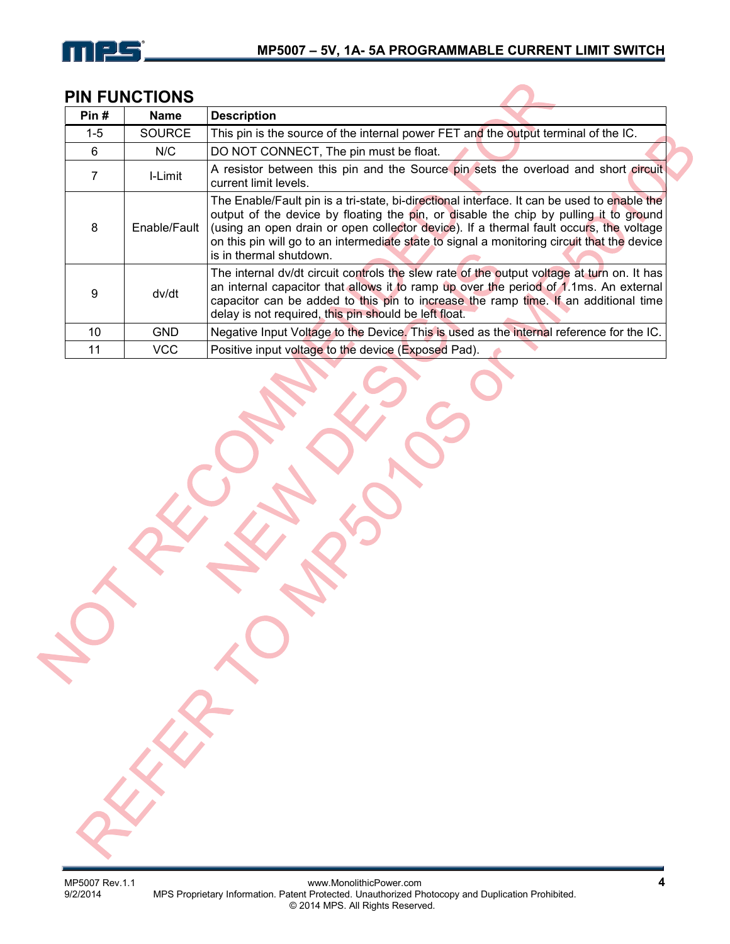

### **PIN FUNCTIONS**

| Pin#    | <b>Name</b>   | <b>Description</b>                                                                                                                                                                                                                                                                                                                                                                                       |
|---------|---------------|----------------------------------------------------------------------------------------------------------------------------------------------------------------------------------------------------------------------------------------------------------------------------------------------------------------------------------------------------------------------------------------------------------|
| $1 - 5$ | <b>SOURCE</b> | This pin is the source of the internal power FET and the output terminal of the IC.                                                                                                                                                                                                                                                                                                                      |
| 6       | N/C           | DO NOT CONNECT, The pin must be float.                                                                                                                                                                                                                                                                                                                                                                   |
|         | I-Limit       | A resistor between this pin and the Source pin sets the overload and short circuit<br>current limit levels.                                                                                                                                                                                                                                                                                              |
| 8       | Enable/Fault  | The Enable/Fault pin is a tri-state, bi-directional interface. It can be used to enable the<br>output of the device by floating the pin, or disable the chip by pulling it to ground<br>(using an open drain or open collector device). If a thermal fault occurs, the voltage<br>on this pin will go to an intermediate state to signal a monitoring circuit that the device<br>is in thermal shutdown. |
| 9       | dv/dt         | The internal dv/dt circuit controls the slew rate of the output voltage at turn on. It has<br>an internal capacitor that allows it to ramp up over the period of 1.1ms. An external<br>capacitor can be added to this pin to increase the ramp time. If an additional time<br>delay is not required, this pin should be left float.                                                                      |
| 10      | <b>GND</b>    | Negative Input Voltage to the Device. This is used as the internal reference for the IC.                                                                                                                                                                                                                                                                                                                 |
| 11      | <b>VCC</b>    | Positive input voltage to the device (Exposed Pad).                                                                                                                                                                                                                                                                                                                                                      |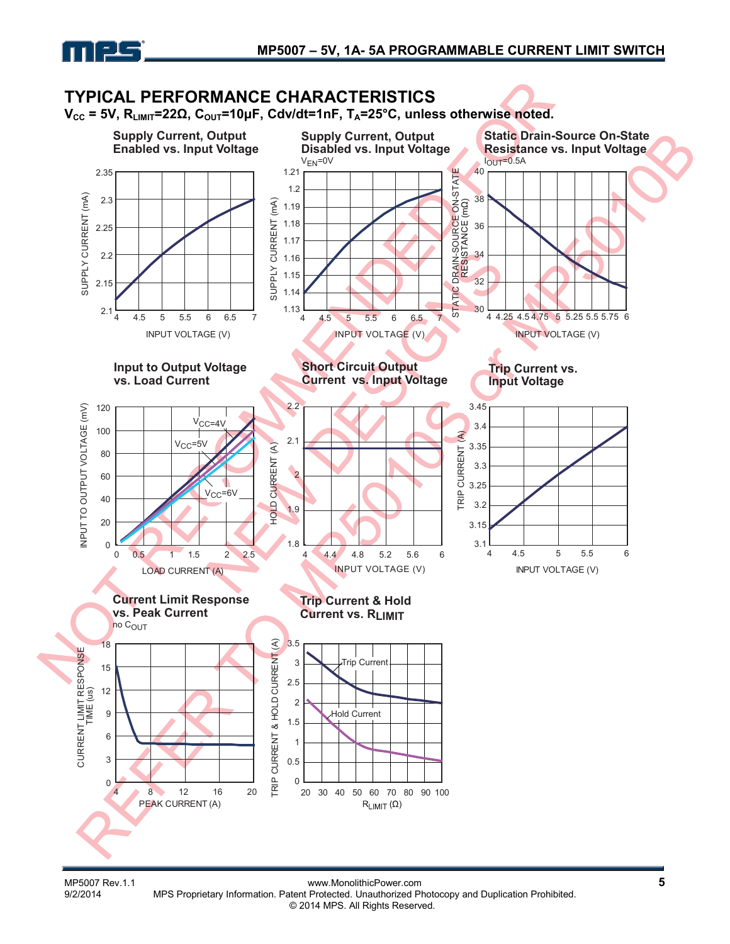

#### **TYPICAL PERFORMANCE CHARACTERISTICS**  $V_{CC}$  = 5V, R<sub>LIMIT</sub>=22Ω, C<sub>OUT</sub>=10μF, Cdv/dt=1nF, T<sub>A</sub>=25°C, unless otherwise noted. **Supply Current, Output Supply Current, Output Static Drain-Source On-State Enabled vs. Input Voltage Disabled vs. Input Voltage Resistance vs. Input Voltage**  $V<sub>EN</sub>=0V$  $I<sub>OUT</sub>=0.5A$ 40 2.35 1.21 DRAIN-SOURCE ON-STATE<br>RESISTANCE (mΩ) STATIC DRAIN-SOURCE ON-STATE 1.2 SUPPLY CURRENT (mA) SUPPLY CURRENT (mA) 38 2.3  $(mA)$ SUPPLY CURRENT (mA) 1.19 SUPPLY CURRENT 1.18 36 2.25 1.17 2.2 34 1.16 1.15 32 2.15 **STATIC** 1.14  $\overline{30}$ 2.1  $1.13$   $4$ 4 4.5 5 5.5 6 6.5 7 4 4.25 4.5 4.75 5 5.25 5.5 5.75 6 4 4.5 5 5.5 6 6.5 7 INPUT VOLTAGE (V) INPUT VOLTAGE (V) INPUT VOLTAGE (V) **Short Circuit Output Input to Output Voltage Trip Current vs. Current vs. Input Voltage vs. Load Current Input Voltage** 2.2 3.45 INPUT TO OUTPUT VOLTAGE (mV) INPUT TO OUTPUT VOLTAGE (mV) 120  $V_{\text{CC}=4}$ 3.4 100 TRIP CURRENT (A)  $\mathcal{E}$ 2.1  $V_{CC}$ =5V  $\widehat{\mathcal{E}}$ 3.35 HOLD CURRENT (A) CURRENT 80 **HOLD CURRENT** 3.3 2 60 3.25  $V_{CC}$ =6V **TRIP** 40 3.2 1.9 20 3.15 1.8  $3.1 \frac{1}{4}$ 0 4 4.5 5 5.5 6 0 0.5 1 1.5 2 2.5 4 4.4 4.8 5.2 5.6 6 INPUT VOLTAGE (V) INPUT VOLTAGE (V) LOAD CURRENT (A) **Current Limit Response Trip Current & Hold vs. Peak Current Current vs. RLIMIT** no COUT  $\widehat{\mathcal{E}}$ 3.5 18 TRIP CURRENT & HOLD CURRENT (A) CURRENT LIMIT RESPONSE CURRENT LIMIT RESPONSE & HOLD CURRENT rip Current 3 15 2.5 12 2 9 Hold Current1.5 6 TRIP CURRENT 1 3 0.5 0  $\Omega$ 20 30 40 50 60 70 80 90 100 4 8 12 16 20 PEAK CURRENT (A)  $R$ <sub>LIMIT</sub> $(\Omega)$

MP5007 Rev.1.1 www.MonolithicPower.com<br>9/2/2014 MPS Proprietary Information. Patent Protected. Unauthorized Photocopy and Duplication Prohibited. MPS Proprietary Information. Patent Protected. Unauthorized Photocopy and Duplication Prohibited. © 2014 MPS. All Rights Reserved.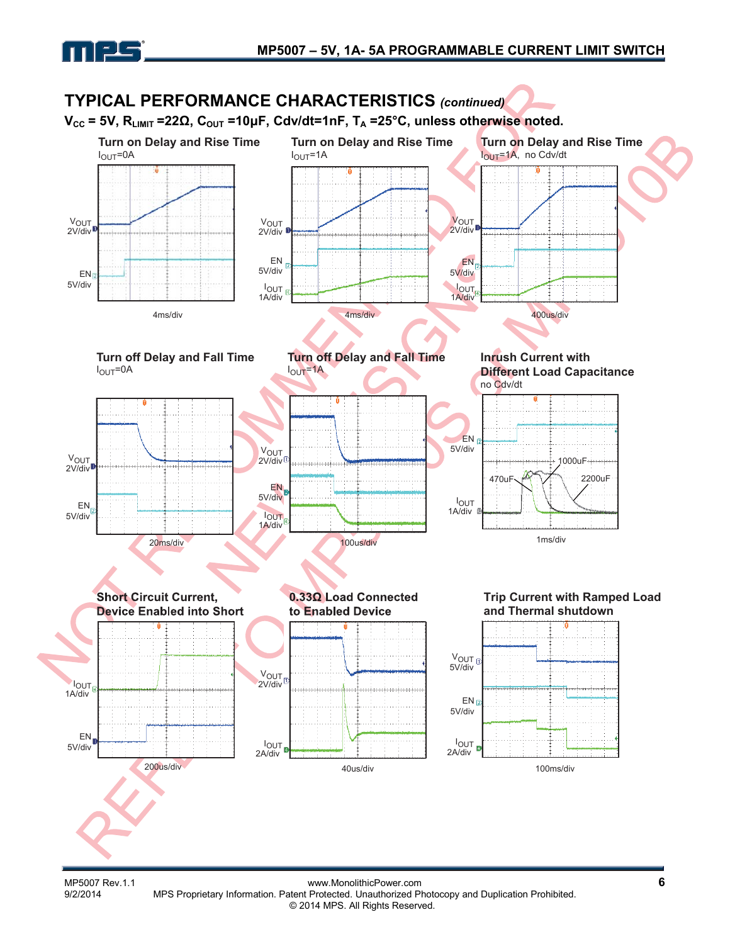



MP5007 Rev.1.1 www.MonolithicPower.com<br>9/2/2014 MPS Proprietary Information. Patent Protected. Unauthorized Photocopy and Duplication Prohibited. MPS Proprietary Information. Patent Protected. Unauthorized Photocopy and Duplication Prohibited. © 2014 MPS. All Rights Reserved.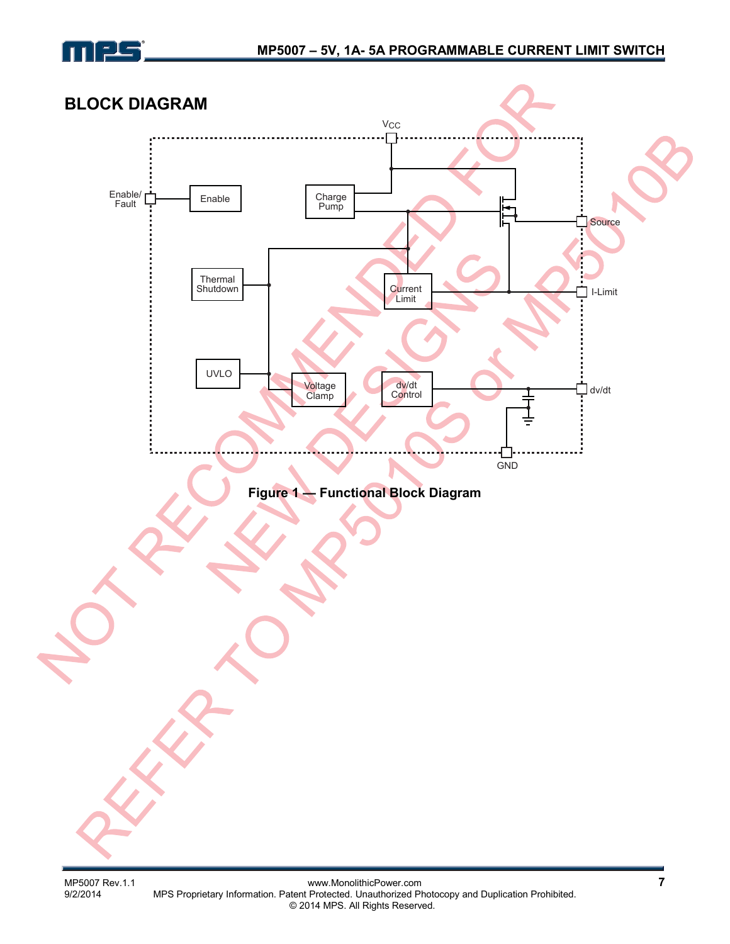

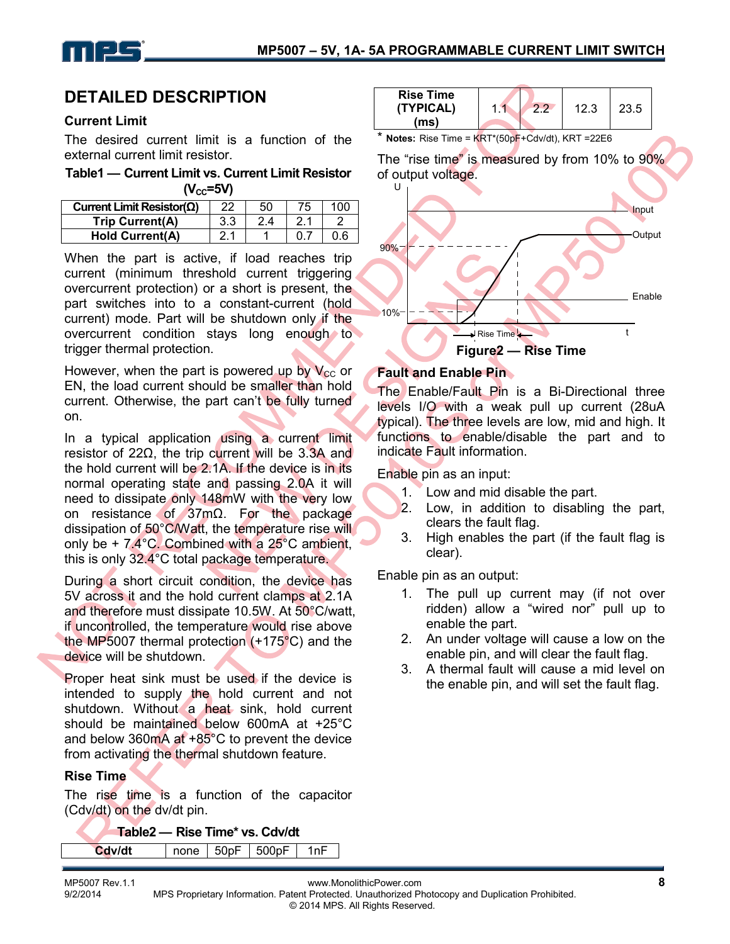

### **DETAILED DESCRIPTION**

#### **Current Limit**

The desired current limit is a function of the external current limit resistor.

**Table1 — Current Limit vs. Current Limit Resistor**   $(**V**<sub>CC</sub>=5**V**)$ 

| Current Limit Resistor( $\Omega$ ) | 22  | 50 |  |
|------------------------------------|-----|----|--|
| Trip Current(A)                    | 3.3 |    |  |
| <b>Hold Current(A)</b>             |     |    |  |

When the part is active, if load reaches trip current (minimum threshold current triggering overcurrent protection) or a short is present, the part switches into to a constant-current (hold current) mode. Part will be shutdown only if the overcurrent condition stays long enough to trigger thermal protection.

However, when the part is powered up by  $V_{CC}$  or EN, the load current should be smaller than hold current. Otherwise, the part can't be fully turned on.

In a typical application using a current limit resistor of 22Ω, the trip current will be 3.3A and the hold current will be 2.1A. If the device is in its normal operating state and passing 2.0A it will need to dissipate only 148mW with the very low on resistance of 37mΩ. For the package dissipation of 50°C/Watt, the temperature rise will only be + 7.4°C. Combined with a 25°C ambient, this is only 32.4°C total package temperature.

During a short circuit condition, the device has 5V across it and the hold current clamps at 2.1A and therefore must dissipate 10.5W. At 50°C/watt, if uncontrolled, the temperature would rise above the MP5007 thermal protection (+175°C) and the device will be shutdown.

Proper heat sink must be used if the device is intended to supply the hold current and not shutdown. Without a heat sink, hold current should be maintained below 600mA at +25°C and below 360 $mA$  at +85 $^{\circ}$ C to prevent the device from activating the thermal shutdown feature.

#### **Rise Time**

The rise time is a function of the capacitor (Cdv/dt) on the dv/dt pin.

**Table2 — Rise Time\* vs. Cdv/dt**

**Cdv/dt**  $|$  none | 50pF | 500pF | 1nF



#### **Fault and Enable Pin**

The Enable/Fault Pin is a Bi-Directional three levels I/O with a weak pull up current (28uA typical). The three levels are low, mid and high. It functions to enable/disable the part and to indicate Fault information.

Enable pin as an input:

- 1. Low and mid disable the part.
- 2. Low, in addition to disabling the part, clears the fault flag.
- 3. High enables the part (if the fault flag is clear).

Enable pin as an output:

- 1. The pull up current may (if not over ridden) allow a "wired nor" pull up to enable the part.
- 2. An under voltage will cause a low on the enable pin, and will clear the fault flag.
- 3. A thermal fault will cause a mid level on the enable pin, and will set the fault flag.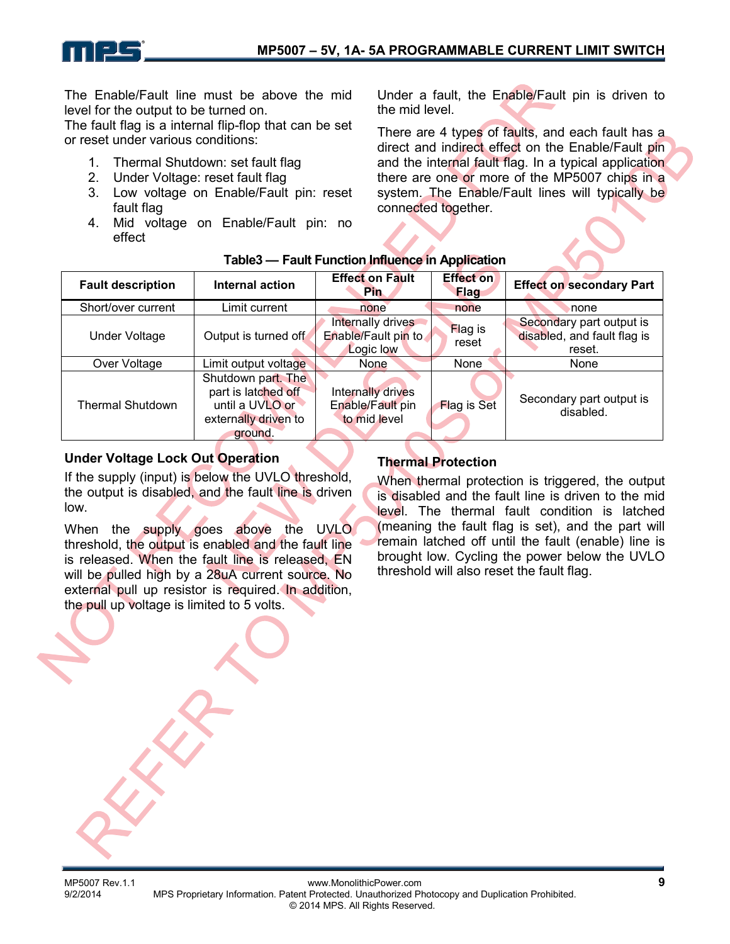The Enable/Fault line must be above the mid level for the output to be turned on.

The fault flag is a internal flip-flop that can be set or reset under various conditions:

- 1. Thermal Shutdown: set fault flag
- 2. Under Voltage: reset fault flag
- 3. Low voltage on Enable/Fault pin: reset fault flag
- 4. Mid voltage on Enable/Fault pin: no effect

Under a fault, the Enable/Fault pin is driven to the mid level.

There are 4 types of faults, and each fault has a direct and indirect effect on the Enable/Fault pin and the internal fault flag. In a typical application there are one or more of the MP5007 chips in a system. The Enable/Fault lines will typically be connected together.

| <b>Fault description</b> | <b>Internal action</b>                                                                          | <b>Effect on Fault</b><br><b>Pin</b>                  | <b>Effect on</b><br><b>Flag</b> | <b>Effect on secondary Part</b>                                   |
|--------------------------|-------------------------------------------------------------------------------------------------|-------------------------------------------------------|---------------------------------|-------------------------------------------------------------------|
| Short/over current       | Limit current                                                                                   | none                                                  | none                            | none                                                              |
| Under Voltage            | Output is turned off                                                                            | Internally drives<br>Enable/Fault pin to<br>Logic low | <b>Flag is</b><br>reset         | Secondary part output is<br>disabled, and fault flag is<br>reset. |
| Over Voltage             | Limit output voltage                                                                            | None                                                  | <b>None</b>                     | <b>None</b>                                                       |
| <b>Thermal Shutdown</b>  | Shutdown part. The<br>part is latched off<br>until a UVLO or<br>externally driven to<br>ground. | Internally drives<br>Enable/Fault pin<br>to mid level | <b>Flag is Set</b>              | Secondary part output is<br>disabled.                             |

### **Table3 — Fault Function Influence in Application**

### **Under Voltage Lock Out Operation**

If the supply (input) is below the UVLO threshold, the output is disabled, and the fault line is driven low.

When the supply goes above the UVLO threshold, the output is enabled and the fault line is released. When the fault line is released, EN will be pulled high by a 28uA current source. No external pull up resistor is required. In addition, the pull up voltage is limited to 5 volts.

### **Thermal Protection**

When thermal protection is triggered, the output is disabled and the fault line is driven to the mid level. The thermal fault condition is latched (meaning the fault flag is set), and the part will remain latched off until the fault (enable) line is brought low. Cycling the power below the UVLO threshold will also reset the fault flag.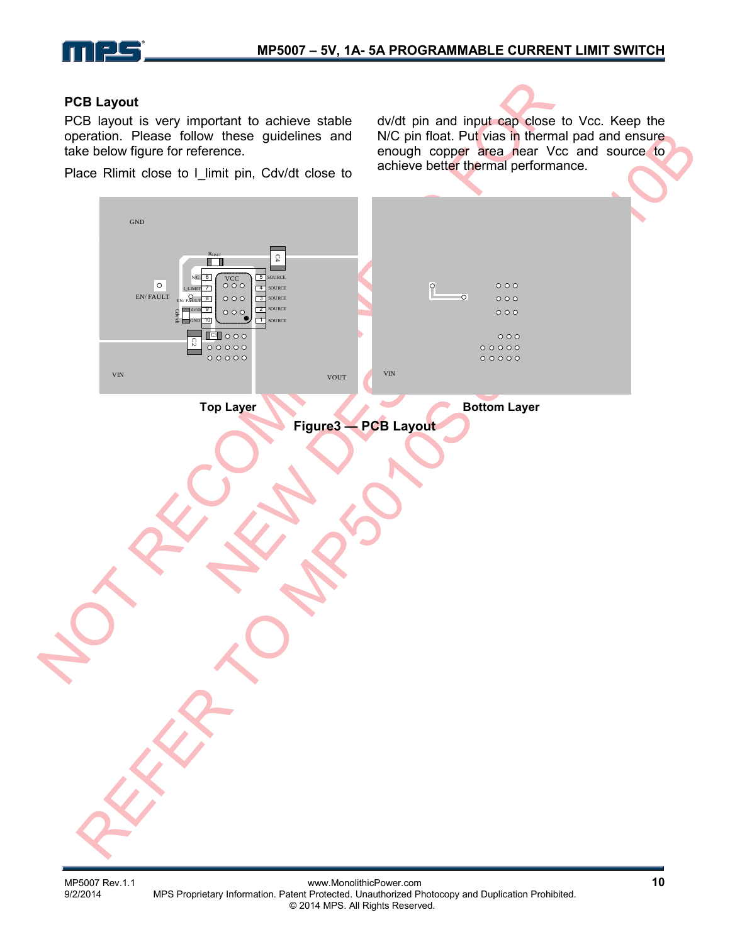

#### **PCB Layout**

PCB layout is very important to achieve stable operation. Please follow these guidelines and take below figure for reference.

Place Rlimit close to I\_limit pin, Cdv/dt close to

dv/dt pin and input cap close to Vcc. Keep the N/C pin float. Put vias in thermal pad and ensure enough copper area near Vcc and source to achieve better thermal performance.